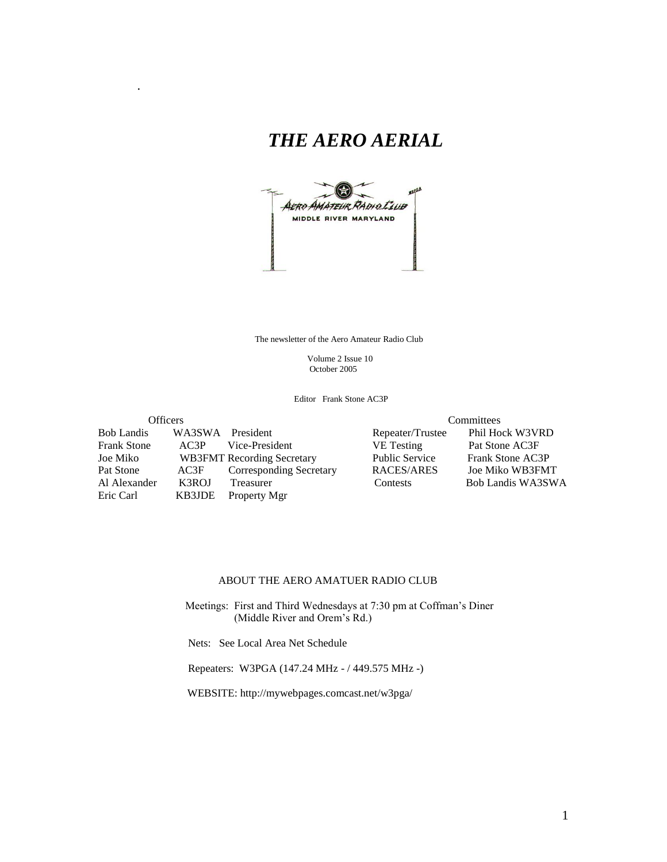## *THE AERO AERIAL*



The newsletter of the Aero Amateur Radio Club

 Volume 2 Issue 10 October 2005

Editor Frank Stone AC3P

Bob Landis WA3SWA President Repeater/Trustee Frank Stone AC3P Vice-President VE Testing Pat Stone AC3F Joe Miko WB3FMT Recording Secretary Public Service Frank Stone AC3P Pat Stone AC3F Corresponding Secretary RACES/ARES Al Alexander K3ROJ Treasurer Contests Bob Landis WA3SWA

.

Eric Carl KB3JDE Property Mgr

Officers<br>
Committees<br>
WA3SWA President<br>
Committee Phil Hock W3VRD

#### ABOUT THE AERO AMATUER RADIO CLUB

 Meetings: First and Third Wednesdays at 7:30 pm at Coffman's Diner (Middle River and Orem's Rd.)

Nets: See Local Area Net Schedule

Repeaters: W3PGA (147.24 MHz - / 449.575 MHz -)

WEBSITE: http://mywebpages.comcast.net/w3pga/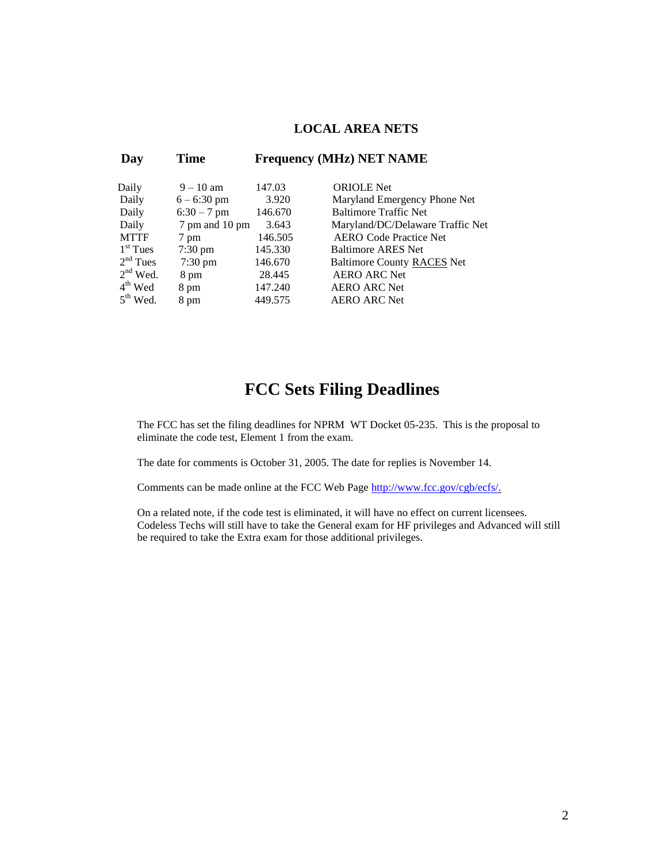#### **LOCAL AREA NETS**

| Day         | Time                      |         | <b>Frequency (MHz) NET NAME</b>   |
|-------------|---------------------------|---------|-----------------------------------|
| Daily       | $9 - 10$ am               | 147.03  | <b>ORIOLE</b> Net                 |
| Daily       | $6 - 6:30$ pm             | 3.920   | Maryland Emergency Phone Net      |
| Daily       | $6:30 - 7$ pm             | 146.670 | <b>Baltimore Traffic Net</b>      |
| Daily       | 7 pm and 10 pm            | 3.643   | Maryland/DC/Delaware Traffic Net  |
| <b>MTTF</b> | 7 pm                      | 146.505 | <b>AERO</b> Code Practice Net     |
| $1st$ Tues  | $7:30 \text{ pm}$         | 145.330 | <b>Baltimore ARES Net</b>         |
| $2nd$ Tues  |                           | 146.670 | <b>Baltimore County RACES Net</b> |
| $2nd$ Wed.  | $7:30 \text{ pm}$<br>8 pm | 28.445  | <b>AERO ARC Net</b>               |
| $4th$ Wed   | 8 pm                      | 147.240 | <b>AERO ARC Net</b>               |
| $5th$ Wed.  | 8 pm                      | 449.575 | <b>AERO ARC Net</b>               |

## **FCC Sets Filing Deadlines**

The FCC has set the filing deadlines for NPRM [WT Docket 05-235.](http://us.f540.mail.yahoo.com/ym/Compose?DMid=7882_60136231_3723_471_974_0_42747_1815_1867851211&YY=85315&inc=25&order=down&sort=date&pos=0&view=a&head=&box=Draft) This is the proposal to eliminate the code test, Element 1 from the exam.

The date for comments is October 31, 2005. The date for replies is November 14.

Comments can be made online at the FCC Web Page [http://www.fcc.gov/cgb/ecfs/.](http://www.fcc.gov/cgb/ecfs/)

On a related note, if the code test is eliminated, it will have no effect on current licensees. Codeless Techs will still have to take the General exam for HF privileges and Advanced will still be required to take the Extra exam for those additional privileges.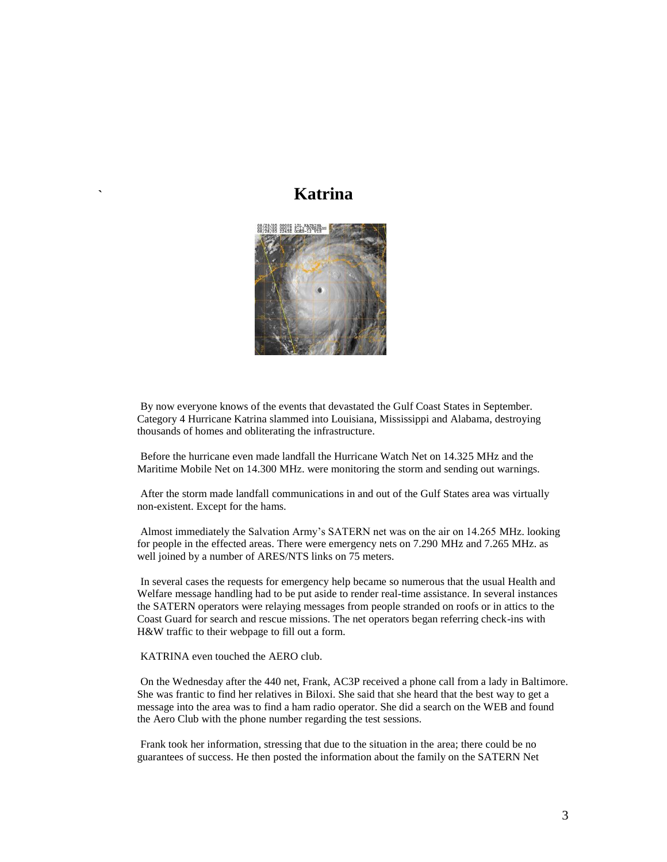#### **` Katrina**



By now everyone knows of the events that devastated the Gulf Coast States in September. Category 4 Hurricane Katrina slammed into Louisiana, Mississippi and Alabama, destroying thousands of homes and obliterating the infrastructure.

Before the hurricane even made landfall the Hurricane Watch Net on 14.325 MHz and the Maritime Mobile Net on 14.300 MHz. were monitoring the storm and sending out warnings.

After the storm made landfall communications in and out of the Gulf States area was virtually non-existent. Except for the hams.

Almost immediately the Salvation Army's SATERN net was on the air on 14.265 MHz. looking for people in the effected areas. There were emergency nets on 7.290 MHz and 7.265 MHz. as well joined by a number of ARES/NTS links on 75 meters.

In several cases the requests for emergency help became so numerous that the usual Health and Welfare message handling had to be put aside to render real-time assistance. In several instances the SATERN operators were relaying messages from people stranded on roofs or in attics to the Coast Guard for search and rescue missions. The net operators began referring check-ins with H&W traffic to their webpage to fill out a form.

KATRINA even touched the AERO club.

On the Wednesday after the 440 net, Frank, AC3P received a phone call from a lady in Baltimore. She was frantic to find her relatives in Biloxi. She said that she heard that the best way to get a message into the area was to find a ham radio operator. She did a search on the WEB and found the Aero Club with the phone number regarding the test sessions.

Frank took her information, stressing that due to the situation in the area; there could be no guarantees of success. He then posted the information about the family on the SATERN Net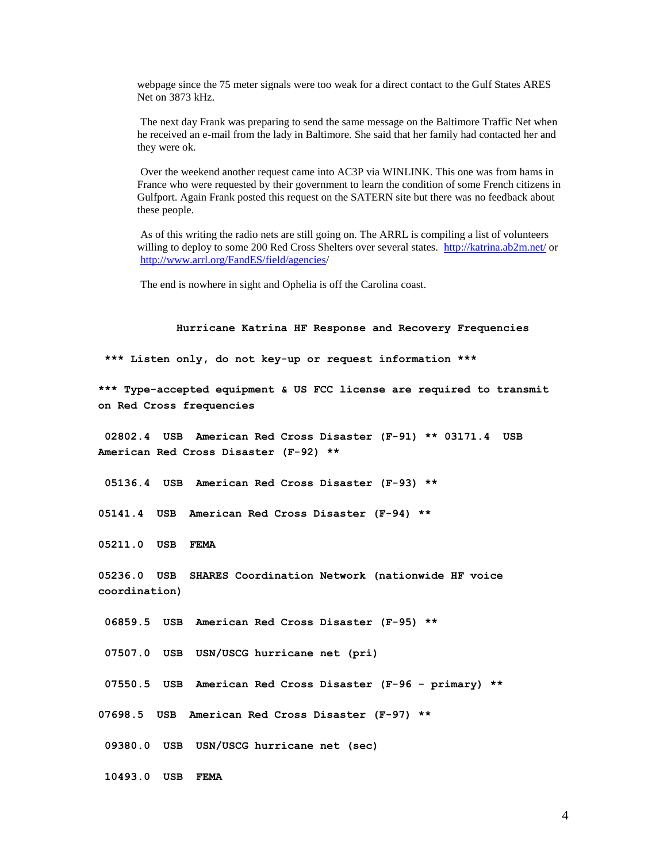webpage since the 75 meter signals were too weak for a direct contact to the Gulf States ARES Net on 3873 kHz.

The next day Frank was preparing to send the same message on the Baltimore Traffic Net when he received an e-mail from the lady in Baltimore. She said that her family had contacted her and they were ok.

Over the weekend another request came into AC3P via WINLINK. This one was from hams in France who were requested by their government to learn the condition of some French citizens in Gulfport. Again Frank posted this request on the SATERN site but there was no feedback about these people.

As of this writing the radio nets are still going on. The ARRL is compiling a list of volunteers willing to deploy to some 200 Red Cross Shelters over several states. <http://katrina.ab2m.net/> or http://www.arrl.org/FandES/field/agencies/

The end is nowhere in sight and Ophelia is off the Carolina coast.

#### **Hurricane Katrina HF Response and Recovery Frequencies**

**\*\*\* Listen only, do not key-up or request information \*\*\***

**\*\*\* Type-accepted equipment & US FCC license are required to transmit on Red Cross frequencies**

**02802.4 USB American Red Cross Disaster (F-91) \*\* 03171.4 USB American Red Cross Disaster (F-92) \*\***

**05136.4 USB American Red Cross Disaster (F-93) \*\***

**05141.4 USB American Red Cross Disaster (F-94) \*\***

**05211.0 USB FEMA**

**05236.0 USB SHARES Coordination Network (nationwide HF voice coordination)**

**06859.5 USB American Red Cross Disaster (F-95) \*\***

**07507.0 USB USN/USCG hurricane net (pri)**

**07550.5 USB American Red Cross Disaster (F-96 - primary) \*\***

**07698.5 USB American Red Cross Disaster (F-97) \*\***

**09380.0 USB USN/USCG hurricane net (sec)**

**10493.0 USB FEMA**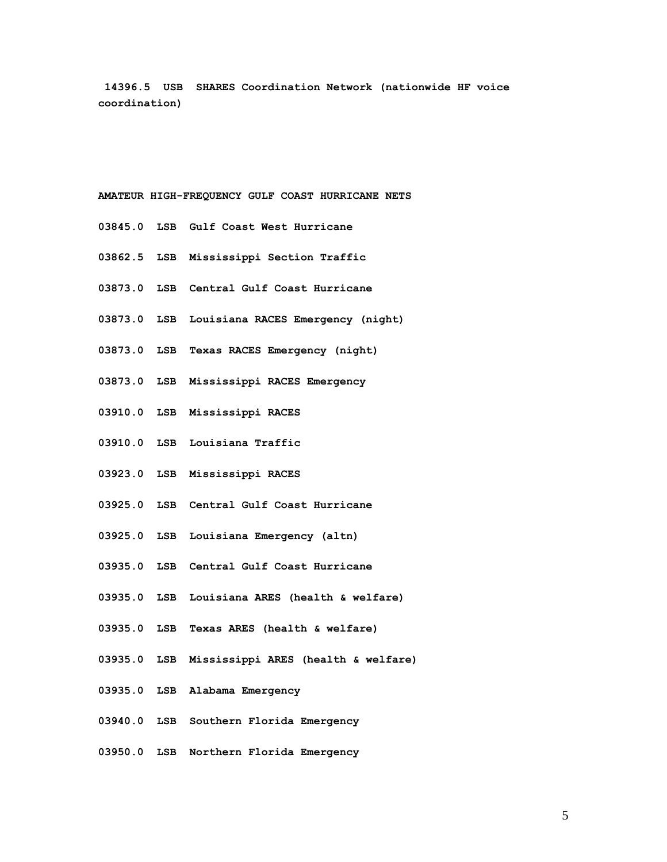**14396.5 USB SHARES Coordination Network (nationwide HF voice coordination)**

#### **AMATEUR HIGH-FREQUENCY GULF COAST HURRICANE NETS**

- **03845.0 LSB Gulf Coast West Hurricane**
- **03862.5 LSB Mississippi Section Traffic**
- **03873.0 LSB Central Gulf Coast Hurricane**
- **03873.0 LSB Louisiana RACES Emergency (night)**
- **03873.0 LSB Texas RACES Emergency (night)**
- **03873.0 LSB Mississippi RACES Emergency**
- **03910.0 LSB Mississippi RACES**
- **03910.0 LSB Louisiana Traffic**
- **03923.0 LSB Mississippi RACES**
- **03925.0 LSB Central Gulf Coast Hurricane**
- **03925.0 LSB Louisiana Emergency (altn)**
- **03935.0 LSB Central Gulf Coast Hurricane**
- **03935.0 LSB Louisiana ARES (health & welfare)**
- **03935.0 LSB Texas ARES (health & welfare)**
- **03935.0 LSB Mississippi ARES (health & welfare)**
- **03935.0 LSB Alabama Emergency**
- **03940.0 LSB Southern Florida Emergency**
- **03950.0 LSB Northern Florida Emergency**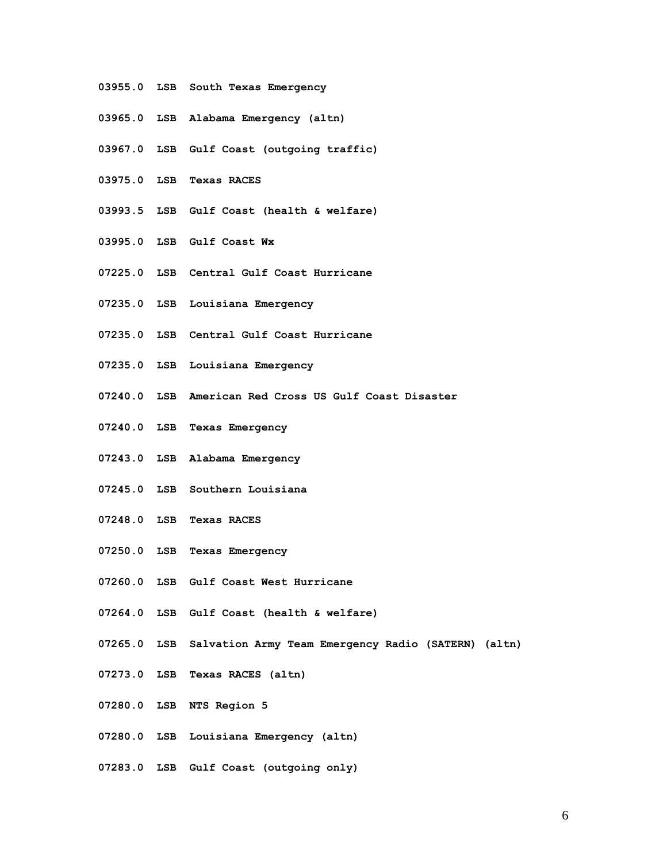- **03955.0 LSB South Texas Emergency**
- **03965.0 LSB Alabama Emergency (altn)**
- **03967.0 LSB Gulf Coast (outgoing traffic)**
- **03975.0 LSB Texas RACES**
- **03993.5 LSB Gulf Coast (health & welfare)**
- **03995.0 LSB Gulf Coast Wx**
- **07225.0 LSB Central Gulf Coast Hurricane**
- **07235.0 LSB Louisiana Emergency**
- **07235.0 LSB Central Gulf Coast Hurricane**
- **07235.0 LSB Louisiana Emergency**
- **07240.0 LSB American Red Cross US Gulf Coast Disaster**
- **07240.0 LSB Texas Emergency**
- **07243.0 LSB Alabama Emergency**
- **07245.0 LSB Southern Louisiana**
- **07248.0 LSB Texas RACES**
- **07250.0 LSB Texas Emergency**
- **07260.0 LSB Gulf Coast West Hurricane**
- **07264.0 LSB Gulf Coast (health & welfare)**
- **07265.0 LSB Salvation Army Team Emergency Radio (SATERN) (altn)**
- **07273.0 LSB Texas RACES (altn)**
- **07280.0 LSB NTS Region 5**
- **07280.0 LSB Louisiana Emergency (altn)**
- **07283.0 LSB Gulf Coast (outgoing only)**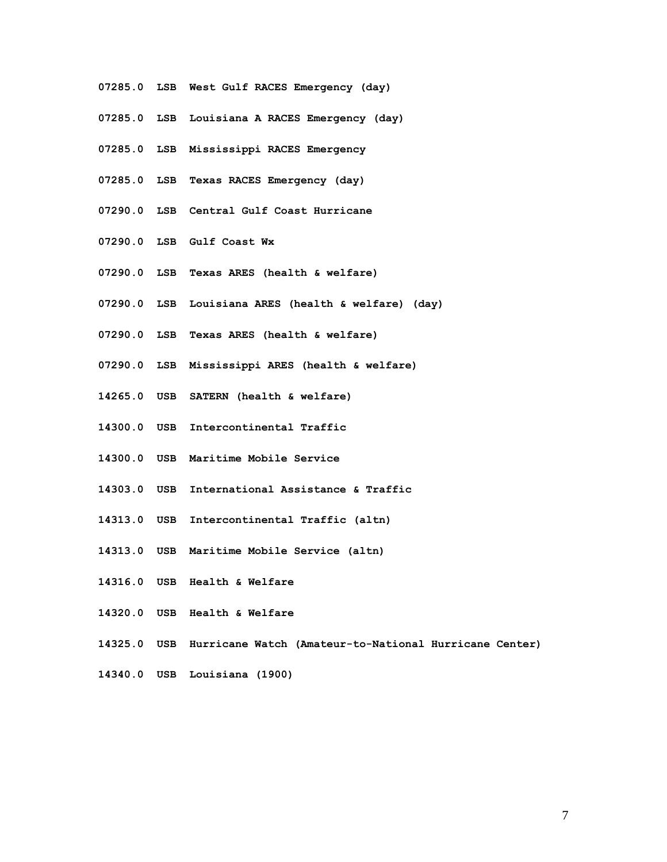- **07285.0 LSB West Gulf RACES Emergency (day)**
- **07285.0 LSB Louisiana A RACES Emergency (day)**
- **07285.0 LSB Mississippi RACES Emergency**
- **07285.0 LSB Texas RACES Emergency (day)**
- **07290.0 LSB Central Gulf Coast Hurricane**
- **07290.0 LSB Gulf Coast Wx**
- **07290.0 LSB Texas ARES (health & welfare)**
- **07290.0 LSB Louisiana ARES (health & welfare) (day)**
- **07290.0 LSB Texas ARES (health & welfare)**
- **07290.0 LSB Mississippi ARES (health & welfare)**
- **14265.0 USB SATERN (health & welfare)**
- **14300.0 USB Intercontinental Traffic**
- **14300.0 USB Maritime Mobile Service**
- **14303.0 USB International Assistance & Traffic**
- **14313.0 USB Intercontinental Traffic (altn)**
- **14313.0 USB Maritime Mobile Service (altn)**
- **14316.0 USB Health & Welfare**
- **14320.0 USB Health & Welfare**
- **14325.0 USB Hurricane Watch (Amateur-to-National Hurricane Center)**
- **14340.0 USB Louisiana (1900)**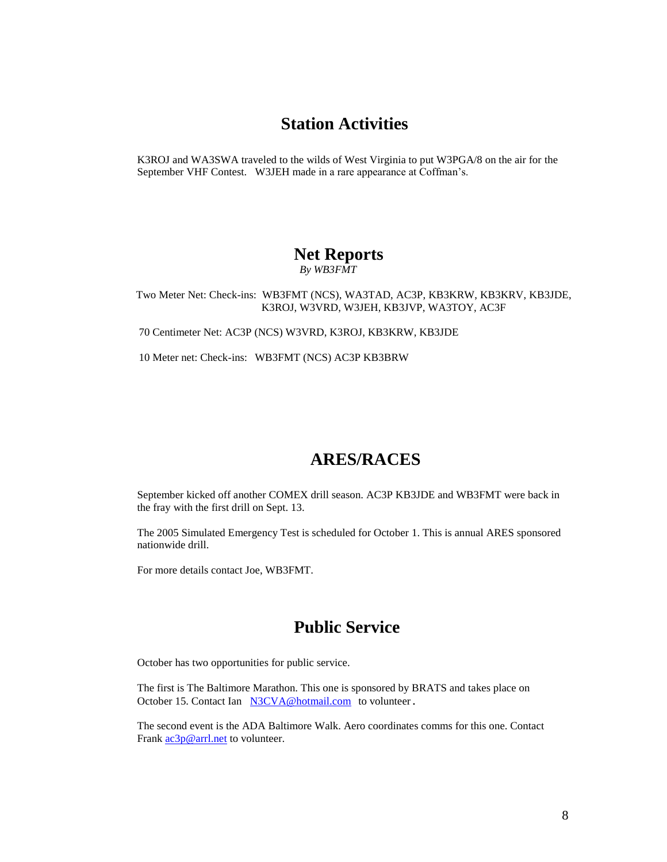#### **Station Activities**

K3ROJ and WA3SWA traveled to the wilds of West Virginia to put W3PGA/8 on the air for the September VHF Contest. W3JEH made in a rare appearance at Coffman's.

# **Net Reports**

 *By WB3FMT*

 Two Meter Net: Check-ins: WB3FMT (NCS), WA3TAD, AC3P, KB3KRW, KB3KRV, KB3JDE, K3ROJ, W3VRD, W3JEH, KB3JVP, WA3TOY, AC3F

70 Centimeter Net: AC3P (NCS) W3VRD, K3ROJ, KB3KRW, KB3JDE

10 Meter net: Check-ins: WB3FMT (NCS) AC3P KB3BRW

## **ARES/RACES**

September kicked off another COMEX drill season. AC3P KB3JDE and WB3FMT were back in the fray with the first drill on Sept. 13.

The 2005 Simulated Emergency Test is scheduled for October 1. This is annual ARES sponsored nationwide drill.

For more details contact Joe, WB3FMT.

## **Public Service**

October has two opportunities for public service.

The first is The Baltimore Marathon. This one is sponsored by BRATS and takes place on October 15. Contact Ian [N3CVA@hotmail.com](mailto:N3CVA@hotmail.com) to volunteer.

The second event is the ADA Baltimore Walk. Aero coordinates comms for this one. Contact Frank  $ac3p@arrl.net$  to volunteer.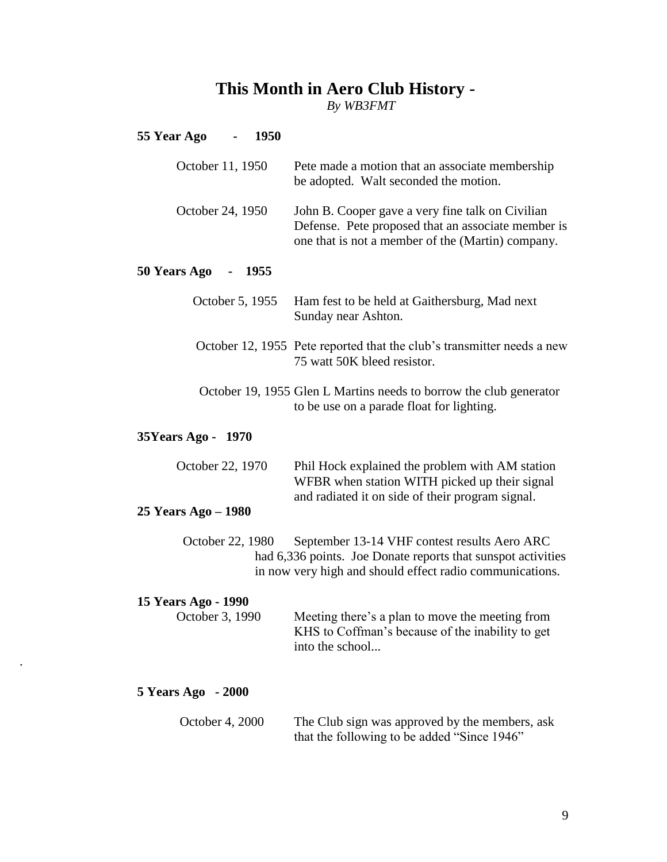# **This Month in Aero Club History -**

*By WB3FMT*

## **55 Year Ago - 1950**

.

| October 11, 1950                                                                                                                                                                             | Pete made a motion that an associate membership<br>be adopted. Walt seconded the motion.                                                                    |  |  |  |
|----------------------------------------------------------------------------------------------------------------------------------------------------------------------------------------------|-------------------------------------------------------------------------------------------------------------------------------------------------------------|--|--|--|
| October 24, 1950                                                                                                                                                                             | John B. Cooper gave a very fine talk on Civilian<br>Defense. Pete proposed that an associate member is<br>one that is not a member of the (Martin) company. |  |  |  |
| 50 Years Ago<br><b>1955</b>                                                                                                                                                                  |                                                                                                                                                             |  |  |  |
| October 5, 1955                                                                                                                                                                              | Ham fest to be held at Gaithersburg, Mad next<br>Sunday near Ashton.                                                                                        |  |  |  |
|                                                                                                                                                                                              | October 12, 1955 Pete reported that the club's transmitter needs a new<br>75 watt 50K bleed resistor.                                                       |  |  |  |
|                                                                                                                                                                                              | October 19, 1955 Glen L Martins needs to borrow the club generator<br>to be use on a parade float for lighting.                                             |  |  |  |
| 35Years Ago - 1970                                                                                                                                                                           |                                                                                                                                                             |  |  |  |
| October 22, 1970                                                                                                                                                                             | Phil Hock explained the problem with AM station<br>WFBR when station WITH picked up their signal<br>and radiated it on side of their program signal.        |  |  |  |
| 25 Years Ago – 1980                                                                                                                                                                          |                                                                                                                                                             |  |  |  |
| October 22, 1980<br>September 13-14 VHF contest results Aero ARC<br>had 6,336 points. Joe Donate reports that sunspot activities<br>in now very high and should effect radio communications. |                                                                                                                                                             |  |  |  |
| 15 Years Ago - 1990<br>October 3, 1990                                                                                                                                                       | Meeting there's a plan to move the meeting from<br>KHS to Coffman's because of the inability to get<br>into the school                                      |  |  |  |
| 5 Years Ago - 2000                                                                                                                                                                           |                                                                                                                                                             |  |  |  |
| October 4, 2000                                                                                                                                                                              | The Club sign was approved by the members, ask<br>that the following to be added "Since 1946"                                                               |  |  |  |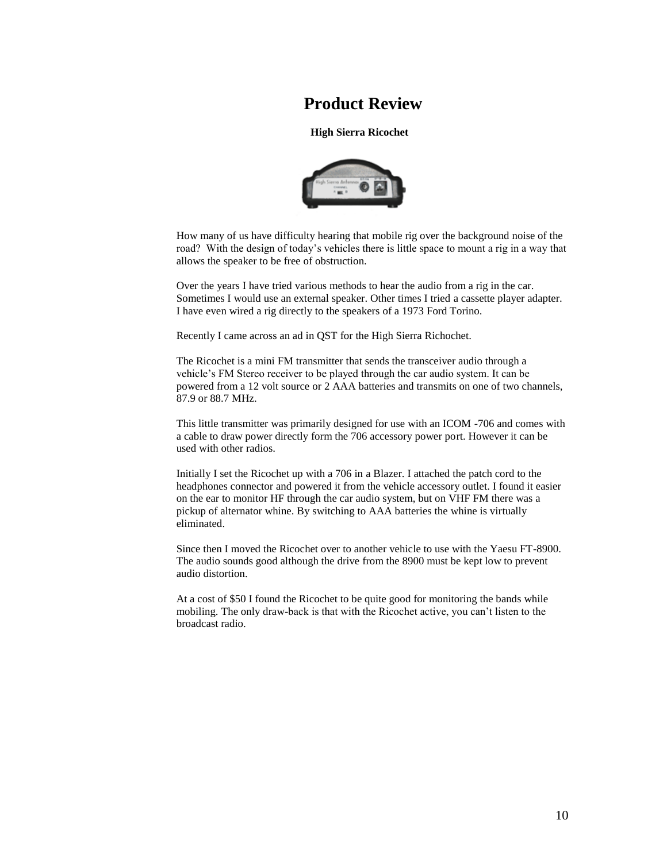## **Product Review**

#### **High Sierra Ricochet**



How many of us have difficulty hearing that mobile rig over the background noise of the road? With the design of today's vehicles there is little space to mount a rig in a way that allows the speaker to be free of obstruction.

Over the years I have tried various methods to hear the audio from a rig in the car. Sometimes I would use an external speaker. Other times I tried a cassette player adapter. I have even wired a rig directly to the speakers of a 1973 Ford Torino.

Recently I came across an ad in QST for the High Sierra Richochet.

The Ricochet is a mini FM transmitter that sends the transceiver audio through a vehicle's FM Stereo receiver to be played through the car audio system. It can be powered from a 12 volt source or 2 AAA batteries and transmits on one of two channels, 87.9 or 88.7 MHz.

This little transmitter was primarily designed for use with an ICOM -706 and comes with a cable to draw power directly form the 706 accessory power port. However it can be used with other radios.

Initially I set the Ricochet up with a 706 in a Blazer. I attached the patch cord to the headphones connector and powered it from the vehicle accessory outlet. I found it easier on the ear to monitor HF through the car audio system, but on VHF FM there was a pickup of alternator whine. By switching to AAA batteries the whine is virtually eliminated.

Since then I moved the Ricochet over to another vehicle to use with the Yaesu FT-8900. The audio sounds good although the drive from the 8900 must be kept low to prevent audio distortion.

At a cost of \$50 I found the Ricochet to be quite good for monitoring the bands while mobiling. The only draw-back is that with the Ricochet active, you can't listen to the broadcast radio.